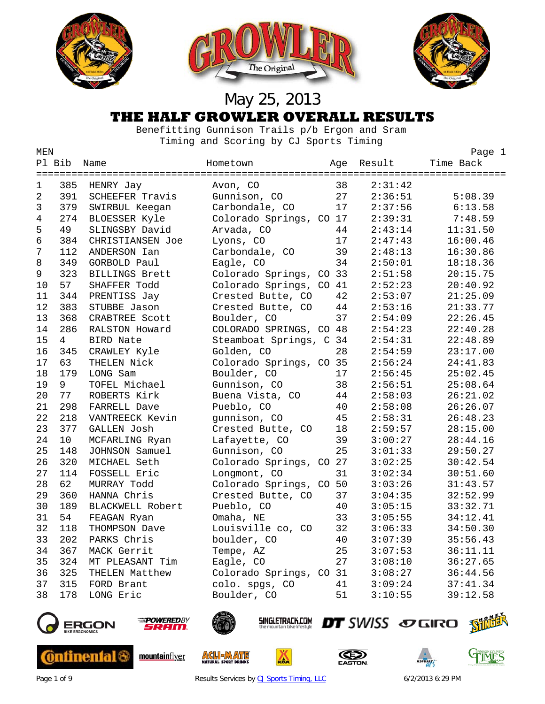





 Benefitting Gunnison Trails p/b Ergon and Sram Timing and Scoring by CJ Sports Timing<br>MEN

| MEN            |                 |                    |                         |     |         | Page 1    |
|----------------|-----------------|--------------------|-------------------------|-----|---------|-----------|
|                | Pl Bib          | Name               | Hometown                | Aqe | Result  | Time Back |
| 1              | 385             | HENRY Jay          | Avon, CO                | 38  | 2:31:42 |           |
| $\overline{2}$ | 391             | SCHEEFER Travis    | Gunnison, CO            | 27  | 2:36:51 | 5:08.39   |
| 3              | 379             | SWIRBUL Keegan     | Carbondale, CO          | 17  | 2:37:56 | 6:13.58   |
| 4              | 274             | BLOESSER Kyle      | Colorado Springs, CO 17 |     | 2:39:31 | 7:48.59   |
| 5              | 49              | SLINGSBY David     | Arvada, CO              | 44  | 2:43:14 | 11:31.50  |
| 6              | 384             | CHRISTIANSEN Joe   | Lyons, CO               | 17  | 2:47:43 | 16:00.46  |
| $7\phantom{.}$ | 112             | ANDERSON Ian       | Carbondale, CO          | 39  | 2:48:13 | 16:30.86  |
| $\,8\,$        | 349             | GORBOLD Paul       | Eagle, CO               | 34  | 2:50:01 | 18:18.36  |
| 9              | 323             | BILLINGS Brett     | Colorado Springs, CO    | 33  | 2:51:58 | 20:15.75  |
| 10             | 57              | SHAFFER Todd       | Colorado Springs, CO    | 41  | 2:52:23 | 20:40.92  |
| 11             | 344             | PRENTISS Jay       | Crested Butte, CO       | 42  | 2:53:07 | 21:25.09  |
| 12             | 383             | STUBBE Jason       | Crested Butte, CO       | 44  | 2:53:16 | 21:33.77  |
| 13             | 368             | CRABTREE Scott     | Boulder, CO             | 37  | 2:54:09 | 22:26.45  |
| 14             | 286             | RALSTON Howard     | COLORADO SPRINGS, CO 48 |     | 2:54:23 | 22:40.28  |
| 15             | $4\overline{ }$ | <b>BIRD Nate</b>   | Steamboat Springs, C    | 34  | 2:54:31 | 22:48.89  |
| 16             | 345             | CRAWLEY Kyle       | Golden, CO              | 28  | 2:54:59 | 23:17.00  |
| 17             | 63              | THELEN Nick        | Colorado Springs, CO 35 |     | 2:56:24 | 24:41.83  |
| 18             | 179             | LONG Sam           | Boulder, CO             | 17  | 2:56:45 | 25:02.45  |
| 19             | 9               | TOFEL Michael      | Gunnison, CO            | 38  | 2:56:51 | 25:08.64  |
| 20             | 77              | ROBERTS Kirk       | Buena Vista, CO         | 44  | 2:58:03 | 26:21.02  |
| 21             | 298             | FARRELL Dave       | Pueblo, CO              | 40  | 2:58:08 | 26:26.07  |
| 22             | 218             | VANTREECK Kevin    | gunnison, CO            | 45  | 2:58:31 | 26:48.23  |
| 23             | 377             | <b>GALLEN Josh</b> | Crested Butte, CO       | 18  | 2:59:57 | 28:15.00  |
| 24             | 10              | MCFARLING Ryan     | Lafayette, CO           | 39  | 3:00:27 | 28:44.16  |
| 25             | 148             | JOHNSON Samuel     | Gunnison, CO            | 25  | 3:01:33 | 29:50.27  |
| 26             | 320             | MICHAEL Seth       | Colorado Springs, CO 27 |     | 3:02:25 | 30:42.54  |
| 27             | 114             | FOSSELL Eric       | Longmont, CO            | 31  | 3:02:34 | 30:51.60  |
| 28             | 62              | MURRAY Todd        | Colorado Springs, CO 50 |     | 3:03:26 | 31:43.57  |
| 29             | 360             | HANNA Chris        | Crested Butte, CO       | 37  | 3:04:35 | 32:52.99  |
| 30             | 189             | BLACKWELL Robert   | Pueblo, CO              | 40  | 3:05:15 | 33:32.71  |
| 31             | 54              | FEAGAN Ryan        | Omaha, NE               | 33  | 3:05:55 | 34:12.41  |
| 32             | 118             | THOMPSON Dave      | Louisville co, CO       | 32  | 3:06:33 | 34:50.30  |
| 33             | 202             | PARKS Chris        | boulder, CO             | 40  | 3:07:39 | 35:56.43  |
| 34             | 367             | MACK Gerrit        | Tempe, AZ               | 25  | 3:07:53 | 36:11.11  |
| 35             | 324             | MT PLEASANT Tim    | Eagle, CO               | 27  | 3:08:10 | 36:27.65  |
| 36             | 325             | THELEN Matthew     | Colorado Springs, CO 31 |     | 3:08:27 | 36:44.56  |
| 37             | 315             | FORD Brant         | colo. spgs, CO          | 41  | 3:09:24 | 37:41.34  |
| 38             | 178             | LONG Eric          | Boulder, CO             | 51  | 3:10:55 | 39:12.58  |
|                |                 |                    |                         |     |         |           |



**Continental (** 



mountainflyer



**ACLIEMATE** 

SINGLETRACK.COM

**A** 





Page 1 of 9 **Results Services by [CJ Sports Timing, LLC](http://www.cjtiming.com/)** 6/2/2013 6:29 PM

DT SWISS SOGIRO STILL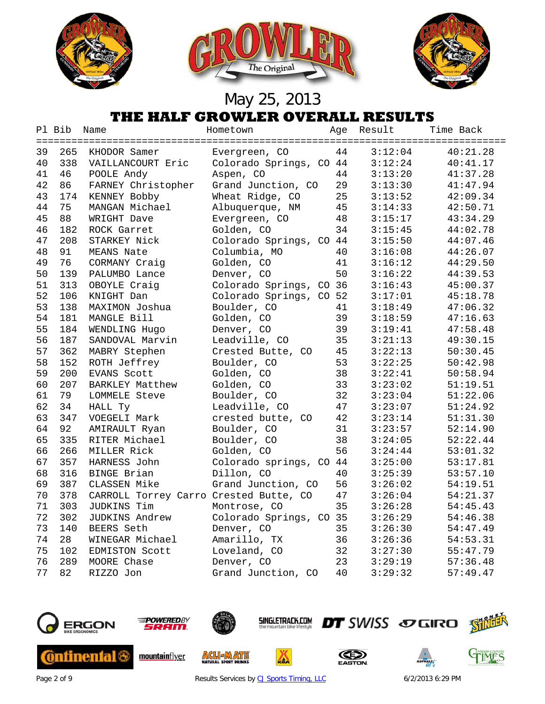





|    | Pl Bib | Name                                   | Hometown                | Age | Result  | Time Back |
|----|--------|----------------------------------------|-------------------------|-----|---------|-----------|
|    |        |                                        |                         |     |         |           |
| 39 | 265    | KHODOR Samer                           | Evergreen, CO           | 44  | 3:12:04 | 40:21.28  |
| 40 | 338    | VAILLANCOURT Eric                      | Colorado Springs, CO 44 |     | 3:12:24 | 40:41.17  |
| 41 | 46     | POOLE Andy                             | Aspen, CO               | 44  | 3:13:20 | 41:37.28  |
| 42 | 86     | FARNEY Christopher                     | Grand Junction, CO      | 29  | 3:13:30 | 41:47.94  |
| 43 | 174    | KENNEY Bobby                           | Wheat Ridge, CO         | 25  | 3:13:52 | 42:09.34  |
| 44 | 75     | MANGAN Michael                         | Albuquerque, NM         | 45  | 3:14:33 | 42:50.71  |
| 45 | 88     | WRIGHT Dave                            | Evergreen, CO           | 48  | 3:15:17 | 43:34.29  |
| 46 | 182    | ROCK Garret                            | Golden, CO              | 34  | 3:15:45 | 44:02.78  |
| 47 | 208    | STARKEY Nick                           | Colorado Springs, CO 44 |     | 3:15:50 | 44:07.46  |
| 48 | 91     | MEANS Nate                             | Columbia, MO            | 40  | 3:16:08 | 44:26.07  |
| 49 | 76     | CORMANY Craig                          | Golden, CO              | 41  | 3:16:12 | 44:29.50  |
| 50 | 139    | PALUMBO Lance                          | Denver, CO              | 50  | 3:16:22 | 44:39.53  |
| 51 | 313    | OBOYLE Craig                           | Colorado Springs, CO 36 |     | 3:16:43 | 45:00.37  |
| 52 | 106    | KNIGHT Dan                             | Colorado Springs, CO 52 |     | 3:17:01 | 45:18.78  |
| 53 | 138    | MAXIMON Joshua                         | Boulder, CO             | 41  | 3:18:49 | 47:06.32  |
| 54 | 181    | MANGLE Bill                            | Golden, CO              | 39  | 3:18:59 | 47:16.63  |
| 55 | 184    | WENDLING Hugo                          | Denver, CO              | 39  | 3:19:41 | 47:58.48  |
| 56 | 187    | SANDOVAL Marvin                        | Leadville, CO           | 35  | 3:21:13 | 49:30.15  |
| 57 | 362    | MABRY Stephen                          | Crested Butte, CO       | 45  | 3:22:13 | 50:30.45  |
| 58 | 152    | ROTH Jeffrey                           | Boulder, CO             | 53  | 3:22:25 | 50:42.98  |
| 59 | 200    | EVANS Scott                            | Golden, CO              | 38  | 3:22:41 | 50:58.94  |
| 60 | 207    | BARKLEY Matthew                        | Golden, CO              | 33  | 3:23:02 | 51:19.51  |
| 61 | 79     | LOMMELE Steve                          | Boulder, CO             | 32  | 3:23:04 | 51:22.06  |
| 62 | 34     | HALL Ty                                | Leadville, CO           | 47  | 3:23:07 | 51:24.92  |
| 63 | 347    | VOEGELI Mark                           | crested butte, CO       | 42  | 3:23:14 | 51:31.30  |
| 64 | 92     | AMIRAULT Ryan                          | Boulder, CO             | 31  | 3:23:57 | 52:14.90  |
| 65 | 335    | RITER Michael                          | Boulder, CO             | 38  | 3:24:05 | 52:22.44  |
| 66 | 266    | MILLER Rick                            | Golden, CO              | 56  | 3:24:44 | 53:01.32  |
| 67 | 357    | HARNESS John                           | Colorado springs, CO 44 |     | 3:25:00 | 53:17.81  |
| 68 | 316    | <b>BINGE Brian</b>                     | Dillon, CO              | 40  | 3:25:39 | 53:57.10  |
| 69 | 387    | CLASSEN Mike                           | Grand Junction, CO      | 56  | 3:26:02 | 54:19.51  |
| 70 | 378    | CARROLL Torrey Carro Crested Butte, CO |                         | 47  | 3:26:04 | 54:21.37  |
| 71 | 303    | JUDKINS Tim                            | Montrose, CO            | 35  | 3:26:28 | 54:45.43  |
| 72 | 302    | JUDKINS Andrew                         | Colorado Springs, CO 35 |     | 3:26:29 | 54:46.38  |
| 73 | 140    | BEERS Seth                             | Denver, CO              | 35  | 3:26:30 | 54:47.49  |
| 74 | 28     | WINEGAR Michael                        | Amarillo, TX            | 36  | 3:26:36 | 54:53.31  |
| 75 | 102    | EDMISTON Scott                         | Loveland, CO            | 32  | 3:27:30 | 55:47.79  |
| 76 | 289    | MOORE Chase                            | Denver, CO              | 23  | 3:29:19 | 57:36.48  |
| 77 | 82     | RIZZO Jon                              | Grand Junction, CO      | 40  | 3:29:32 | 57:49.47  |
|    |        |                                        |                         |     |         |           |



**Continental &** 



mountainflyer



**ACLIEMATE** 

**SINGLETRACK.COM** 

厸





Page 2 of 9 Results Services by [CJ Sports Timing, LLC](http://www.cjtiming.com/) 6/2/2013 6:29 PM

**DT** SWISS SOGIRO SHILL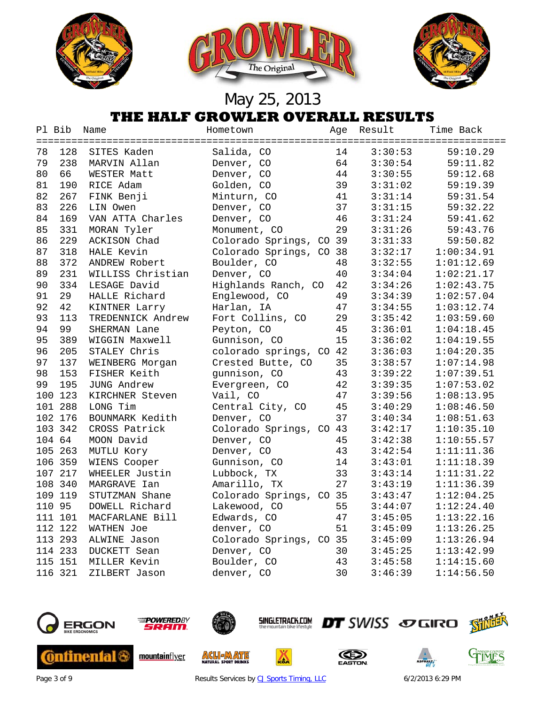





# May 25, 2013

| THE HALF GROWLER OVERALL RESULTS |  |  |
|----------------------------------|--|--|
|                                  |  |  |

|    | Pl Bib  | Name              | Hometown                | Age | Result  | Time Back  |
|----|---------|-------------------|-------------------------|-----|---------|------------|
| 78 | 128     | SITES Kaden       | Salida, CO              | 14  | 3:30:53 | 59:10.29   |
| 79 | 238     | MARVIN Allan      | Denver, CO              | 64  | 3:30:54 | 59:11.82   |
| 80 | 66      | WESTER Matt       | Denver, CO              | 44  | 3:30:55 | 59:12.68   |
| 81 | 190     | RICE Adam         | Golden, CO              | 39  | 3:31:02 | 59:19.39   |
| 82 | 267     | FINK Benji        | Minturn, CO             | 41  | 3:31:14 | 59:31.54   |
| 83 | 226     | LIN Owen          | Denver, CO              | 37  | 3:31:15 | 59:32.22   |
| 84 | 169     | VAN ATTA Charles  | Denver, CO              | 46  | 3:31:24 | 59:41.62   |
| 85 | 331     | MORAN Tyler       | Monument, CO            | 29  | 3:31:26 | 59:43.76   |
| 86 | 229     | ACKISON Chad      | Colorado Springs, CO 39 |     | 3:31:33 | 59:50.82   |
| 87 | 318     | HALE Kevin        | Colorado Springs, CO    | 38  | 3:32:17 | 1:00:34.91 |
| 88 | 372     | ANDREW Robert     | Boulder, CO             | 48  | 3:32:55 | 1:01:12.69 |
| 89 | 231     | WILLISS Christian | Denver, CO              | 40  | 3:34:04 | 1:02:21.17 |
| 90 | 334     | LESAGE David      | Highlands Ranch, CO     | 42  | 3:34:26 | 1:02:43.75 |
| 91 | 29      | HALLE Richard     | Englewood, CO           | 49  | 3:34:39 | 1:02:57.04 |
| 92 | 42      | KINTNER Larry     | Harlan, IA              | 47  | 3:34:55 | 1:03:12.74 |
| 93 | 113     | TREDENNICK Andrew | Fort Collins, CO        | 29  | 3:35:42 | 1:03:59.60 |
| 94 | 99      | SHERMAN Lane      | Peyton, CO              | 45  | 3:36:01 | 1:04:18.45 |
| 95 | 389     | WIGGIN Maxwell    | Gunnison, CO            | 15  | 3:36:02 | 1:04:19.55 |
| 96 | 205     | STALEY Chris      | colorado springs, CO 42 |     | 3:36:03 | 1:04:20.35 |
| 97 | 137     | WEINBERG Morgan   | Crested Butte, CO       | 35  | 3:38:57 | 1:07:14.98 |
| 98 | 153     | FISHER Keith      | gunnison, CO            | 43  | 3:39:22 | 1:07:39.51 |
| 99 | 195     | JUNG Andrew       | Evergreen, CO           | 42  | 3:39:35 | 1:07:53.02 |
|    | 100 123 | KIRCHNER Steven   | Vail, CO                | 47  | 3:39:56 | 1:08:13.95 |
|    | 101 288 | LONG Tim          | Central City, CO        | 45  | 3:40:29 | 1:08:46.50 |
|    | 102 176 | BOUNMARK Kedith   | Denver, CO              | 37  | 3:40:34 | 1:08:51.63 |
|    | 103 342 | CROSS Patrick     | Colorado Springs, CO 43 |     | 3:42:17 | 1:10:35.10 |
|    | 104 64  | MOON David        | Denver, CO              | 45  | 3:42:38 | 1:10:55.57 |
|    | 105 263 | MUTLU Kory        | Denver, CO              | 43  | 3:42:54 | 1:11:11.36 |
|    | 106 359 | WIENS Cooper      | Gunnison, CO            | 14  | 3:43:01 | 1:11:18.39 |
|    | 107 217 | WHEELER Justin    | Lubbock, TX             | 33  | 3:43:14 | 1:11:31.22 |
|    | 108 340 | MARGRAVE Ian      | Amarillo, TX            | 27  | 3:43:19 | 1:11:36.39 |
|    | 109 119 | STUTZMAN Shane    | Colorado Springs, CO 35 |     | 3:43:47 | 1:12:04.25 |
|    | 110 95  | DOWELL Richard    | Lakewood, CO            | 55  | 3:44:07 | 1:12:24.40 |
|    | 111 101 | MACFARLANE Bill   | Edwards, CO             | 47  | 3:45:05 | 1:13:22.16 |
|    | 112 122 | <b>WATHEN Joe</b> | denver, CO              | 51  | 3:45:09 | 1:13:26.25 |
|    | 113 293 | ALWINE Jason      | Colorado Springs, CO 35 |     | 3:45:09 | 1:13:26.94 |
|    | 114 233 | DUCKETT Sean      | Denver, CO              | 30  | 3:45:25 | 1:13:42.99 |
|    | 115 151 | MILLER Kevin      | Boulder, CO             | 43  | 3:45:58 | 1:14:15.60 |
|    | 116 321 | ZILBERT Jason     | denver, CO              | 30  | 3:46:39 | 1:14:56.50 |







**ACL JAATE** 



Ă





GIMES

Page 3 of 9 Results Services by [CJ Sports Timing, LLC](http://www.cjtiming.com/) 6/2/2013 6:29 PM

DT SWISS SO GIRO Shini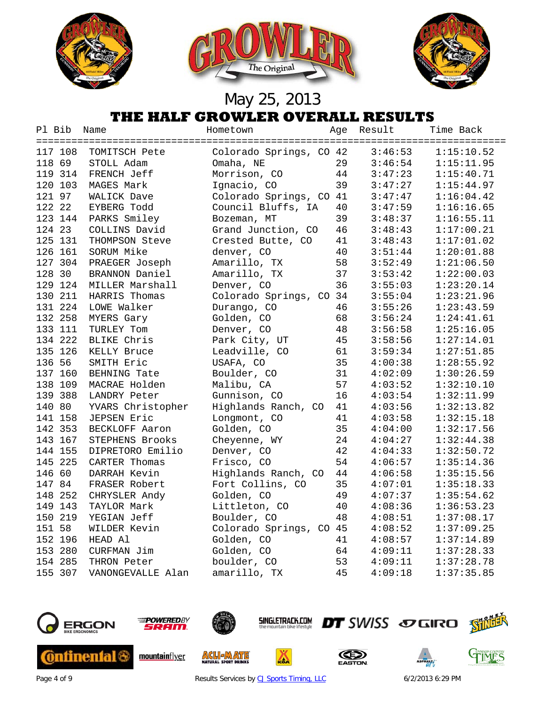





| Pl Bib  | Name              | Hometown                | Age | Result  | Time Back  |
|---------|-------------------|-------------------------|-----|---------|------------|
| 117 108 | TOMITSCH Pete     | Colorado Springs, CO 42 |     | 3:46:53 | 1:15:10.52 |
| 118 69  | STOLL Adam        | Omaha, NE               | 29  | 3:46:54 | 1:15:11.95 |
| 119 314 | FRENCH Jeff       | Morrison, CO            | 44  | 3:47:23 | 1:15:40.71 |
| 120 103 | MAGES Mark        | Ignacio, CO             | 39  | 3:47:27 | 1:15:44.97 |
| 121 97  | WALICK Dave       | Colorado Springs, CO 41 |     | 3:47:47 | 1:16:04.42 |
| 122 22  | EYBERG Todd       | Council Bluffs, IA      | 40  | 3:47:59 | 1:16:16.65 |
| 123 144 | PARKS Smiley      | Bozeman, MT             | 39  | 3:48:37 | 1:16:55.11 |
| 124 23  | COLLINS David     | Grand Junction, CO      | 46  | 3:48:43 | 1:17:00.21 |
| 125 131 | THOMPSON Steve    | Crested Butte, CO       | 41  | 3:48:43 | 1:17:01.02 |
| 126 161 | SORUM Mike        | denver, CO              | 40  | 3:51:44 | 1:20:01.88 |
| 127 304 | PRAEGER Joseph    | Amarillo, TX            | 58  | 3:52:49 | 1:21:06.50 |
| 128 30  | BRANNON Daniel    | Amarillo, TX            | 37  | 3:53:42 | 1:22:00.03 |
| 129 124 | MILLER Marshall   | Denver, CO              | 36  | 3:55:03 | 1:23:20.14 |
| 130 211 | HARRIS Thomas     | Colorado Springs, CO 34 |     | 3:55:04 | 1:23:21.96 |
| 131 224 | LOWE Walker       | Durango, CO             | 46  | 3:55:26 | 1:23:43.59 |
| 132 258 | MYERS Gary        | Golden, CO              | 68  | 3:56:24 | 1:24:41.61 |
| 133 111 | TURLEY Tom        | Denver, CO              | 48  | 3:56:58 | 1:25:16.05 |
| 134 222 | BLIKE Chris       | Park City, UT           | 45  | 3:58:56 | 1:27:14.01 |
| 135 126 | KELLY Bruce       | Leadville, CO           | 61  | 3:59:34 | 1:27:51.85 |
| 136 56  | SMITH Eric        | USAFA, CO               | 35  | 4:00:38 | 1:28:55.92 |
| 137 160 | BEHNING Tate      | Boulder, CO             | 31  | 4:02:09 | 1:30:26.59 |
| 138 109 | MACRAE Holden     | Malibu, CA              | 57  | 4:03:52 | 1:32:10.10 |
| 139 388 | LANDRY Peter      | Gunnison, CO            | 16  | 4:03:54 | 1:32:11.99 |
| 140 80  | YVARS Christopher | Highlands Ranch, CO     | 41  | 4:03:56 | 1:32:13.82 |
| 141 158 | JEPSEN Eric       | Longmont, CO            | 41  | 4:03:58 | 1:32:15.18 |
| 142 353 | BECKLOFF Aaron    | Golden, CO              | 35  | 4:04:00 | 1:32:17.56 |
| 143 167 | STEPHENS Brooks   | Cheyenne, WY            | 24  | 4:04:27 | 1:32:44.38 |
| 144 155 | DIPRETORO Emilio  | Denver, CO              | 42  | 4:04:33 | 1:32:50.72 |
| 145 225 | CARTER Thomas     | Frisco, CO              | 54  | 4:06:57 | 1:35:14.36 |
| 146 60  | DARRAH Kevin      | Highlands Ranch, CO     | 44  | 4:06:58 | 1:35:15.56 |
| 147 84  | FRASER Robert     | Fort Collins, CO        | 35  | 4:07:01 | 1:35:18.33 |
| 148 252 | CHRYSLER Andy     | Golden, CO              | 49  | 4:07:37 | 1:35:54.62 |
| 149 143 | TAYLOR Mark       | Littleton, CO           | 40  | 4:08:36 | 1:36:53.23 |
| 150 219 | YEGIAN Jeff       | Boulder, CO             | 48  | 4:08:51 | 1:37:08.17 |
| 151 58  | WILDER Kevin      | Colorado Springs, CO 45 |     | 4:08:52 | 1:37:09.25 |
| 152 196 | HEAD Al           | Golden, CO              | 41  | 4:08:57 | 1:37:14.89 |
| 153 280 | CURFMAN Jim       | Golden, CO              | 64  | 4:09:11 | 1:37:28.33 |
| 154 285 | THRON Peter       | boulder, CO             | 53  | 4:09:11 | 1:37:28.78 |
| 155 307 | VANONGEVALLE Alan | amarillo, TX            | 45  | 4:09:18 | 1:37:35.85 |
|         |                   |                         |     |         |            |







Page 4 of 9 Results Services by [CJ Sports Timing, LLC](http://www.cjtiming.com/) 6/2/2013 6:29 PM

厸

**DT** SWISS SOGIRO SHILL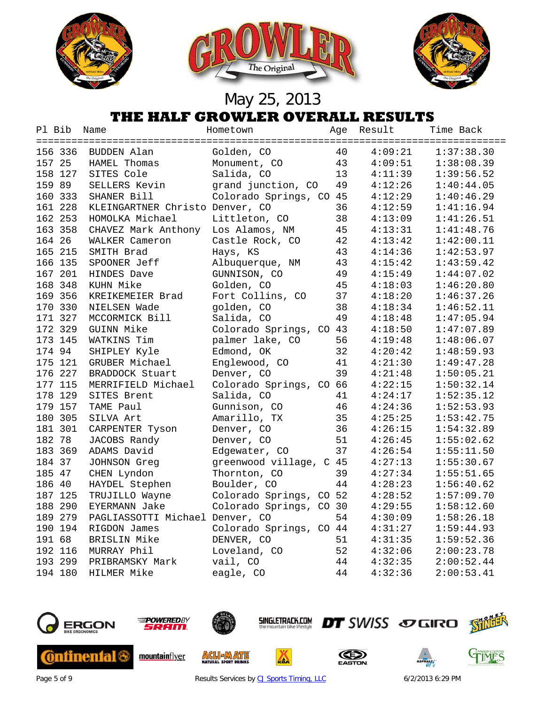





| Pl Bib  | Name                            | Hometown                | Age | Result  | Time Back  |
|---------|---------------------------------|-------------------------|-----|---------|------------|
|         |                                 |                         |     |         |            |
| 156 336 | BUDDEN Alan                     | Golden, CO              | 40  | 4:09:21 | 1:37:38.30 |
| 157 25  | <b>HAMEL Thomas</b>             | Monument, CO            | 43  | 4:09:51 | 1:38:08.39 |
| 158 127 | SITES Cole                      | Salida, CO              | 13  | 4:11:39 | 1:39:56.52 |
| 159 89  | SELLERS Kevin                   | grand junction, CO      | 49  | 4:12:26 | 1:40:44.05 |
| 160 333 | SHANER Bill                     | Colorado Springs, CO    | 45  | 4:12:29 | 1:40:46.29 |
| 161 228 | KLEINGARTNER Christo Denver, CO |                         | 36  | 4:12:59 | 1:41:16.94 |
| 162 253 | HOMOLKA Michael                 | Littleton, CO           | 38  | 4:13:09 | 1:41:26.51 |
| 163 358 | CHAVEZ Mark Anthony             | Los Alamos, NM          | 45  | 4:13:31 | 1:41:48.76 |
| 164 26  | WALKER Cameron                  | Castle Rock, CO         | 42  | 4:13:42 | 1:42:00.11 |
| 165 215 | SMITH Brad                      | Hays, KS                | 43  | 4:14:36 | 1:42:53.97 |
| 166 135 | SPOONER Jeff                    | Albuquerque, NM         | 43  | 4:15:42 | 1:43:59.42 |
| 167 201 | HINDES Dave                     | GUNNISON, CO            | 49  | 4:15:49 | 1:44:07.02 |
| 168 348 | KUHN Mike                       | Golden, CO              | 45  | 4:18:03 | 1:46:20.80 |
| 169 356 | KREIKEMEIER Brad                | Fort Collins, CO        | 37  | 4:18:20 | 1:46:37.26 |
| 170 330 | NIELSEN Wade                    | golden, CO              | 38  | 4:18:34 | 1:46:52.11 |
| 171 327 | MCCORMICK Bill                  | Salida, CO              | 49  | 4:18:48 | 1:47:05.94 |
| 172 329 | GUINN Mike                      | Colorado Springs, CO 43 |     | 4:18:50 | 1:47:07.89 |
| 173 145 | WATKINS Tim                     | palmer lake, CO         | 56  | 4:19:48 | 1:48:06.07 |
| 174 94  | SHIPLEY Kyle                    | Edmond, OK              | 32  | 4:20:42 | 1:48:59.93 |
| 175 121 | GRUBER Michael                  | Englewood, CO           | 41  | 4:21:30 | 1:49:47.28 |
| 176 227 | BRADDOCK Stuart                 | Denver, CO              | 39  | 4:21:48 | 1:50:05.21 |
| 177 115 | MERRIFIELD Michael              | Colorado Springs, CO 66 |     | 4:22:15 | 1:50:32.14 |
| 178 129 | SITES Brent                     | Salida, CO              | 41  | 4:24:17 | 1:52:35.12 |
| 179 157 | TAME Paul                       | Gunnison, CO            | 46  | 4:24:36 | 1:52:53.93 |
| 180 305 | SILVA Art                       | Amarillo, TX            | 35  | 4:25:25 | 1:53:42.75 |
| 181 301 | CARPENTER Tyson                 | Denver, CO              | 36  | 4:26:15 | 1:54:32.89 |
| 182 78  | JACOBS Randy                    | Denver, CO              | 51  | 4:26:45 | 1:55:02.62 |
| 183 369 | ADAMS David                     | Edgewater, CO           | 37  | 4:26:54 | 1:55:11.50 |
| 184 37  | JOHNSON Greg                    | greenwood village, C 45 |     | 4:27:13 | 1:55:30.67 |
| 185 47  | CHEN Lyndon                     | Thornton, CO            | 39  | 4:27:34 | 1:55:51.65 |
| 186 40  | HAYDEL Stephen                  | Boulder, CO             | 44  | 4:28:23 | 1:56:40.62 |
| 187 125 | TRUJILLO Wayne                  | Colorado Springs, CO 52 |     | 4:28:52 | 1:57:09.70 |
| 188 290 | <b>EYERMANN Jake</b>            | Colorado Springs, CO 30 |     | 4:29:55 | 1:58:12.60 |
| 189 279 | PAGLIASSOTTI Michael Denver, CO |                         | 54  | 4:30:09 | 1:58:26.18 |
| 190 194 | RIGDON James                    | Colorado Springs, CO 44 |     | 4:31:27 | 1:59:44.93 |
| 191 68  | BRISLIN Mike                    | DENVER, CO              | 51  | 4:31:35 | 1:59:52.36 |
| 192 116 | MURRAY Phil                     | Loveland, CO            | 52  | 4:32:06 | 2:00:23.78 |
| 193 299 | PRIBRAMSKY Mark                 | vail, CO                | 44  | 4:32:35 | 2:00:52.44 |
| 194 180 | HILMER Mike                     | eagle, CO               | 44  | 4:32:36 | 2:00:53.41 |
|         |                                 |                         |     |         |            |



Page 5 of 9 Results Services by [CJ Sports Timing, LLC](http://www.cjtiming.com/) 6/2/2013 6:29 PM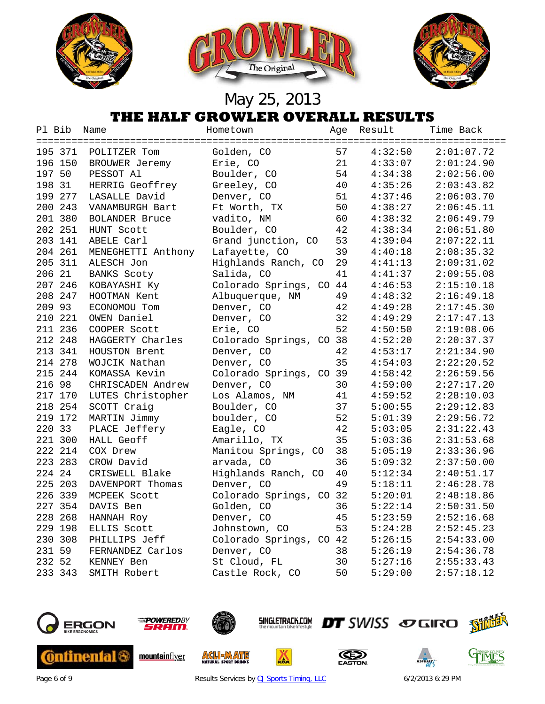





| Pl Bib  | Name                  | Hometown                | Age | Result  | Time Back  |
|---------|-----------------------|-------------------------|-----|---------|------------|
|         |                       |                         |     |         |            |
| 195 371 | POLITZER Tom          | Golden, CO              | 57  | 4:32:50 | 2:01:07.72 |
| 196 150 | BROUWER Jeremy        | Erie, CO                | 21  | 4:33:07 | 2:01:24.90 |
| 197 50  | PESSOT Al             | Boulder, CO             | 54  | 4:34:38 | 2:02:56.00 |
| 198 31  | HERRIG Geoffrey       | Greeley, CO             | 40  | 4:35:26 | 2:03:43.82 |
| 199 277 | LASALLE David         | Denver, CO              | 51  | 4:37:46 | 2:06:03.70 |
| 200 243 | VANAMBURGH Bart       | Ft Worth, TX            | 50  | 4:38:27 | 2:06:45.11 |
| 201 380 | <b>BOLANDER Bruce</b> | vadito, NM              | 60  | 4:38:32 | 2:06:49.79 |
| 202 251 | HUNT Scott            | Boulder, CO             | 42  | 4:38:34 | 2:06:51.80 |
| 203 141 | ABELE Carl            | Grand junction, CO      | 53  | 4:39:04 | 2:07:22.11 |
| 204 261 | MENEGHETTI Anthony    | Lafayette, CO           | 39  | 4:40:18 | 2:08:35.32 |
| 205 311 | ALESCH Jon            | Highlands Ranch, CO     | 29  | 4:41:13 | 2:09:31.02 |
| 206 21  | <b>BANKS Scoty</b>    | Salida, CO              | 41  | 4:41:37 | 2:09:55.08 |
| 207 246 | KOBAYASHI Ky          | Colorado Springs, CO 44 |     | 4:46:53 | 2:15:10.18 |
| 208 247 | HOOTMAN Kent          | Albuquerque, NM         | 49  | 4:48:32 | 2:16:49.18 |
| 209 93  | ECONOMOU Tom          | Denver, CO              | 42  | 4:49:28 | 2:17:45.30 |
| 210 221 | OWEN Daniel           | Denver, CO              | 32  | 4:49:29 | 2:17:47.13 |
| 211 236 | COOPER Scott          | Erie, CO                | 52  | 4:50:50 | 2:19:08.06 |
| 212 248 | HAGGERTY Charles      | Colorado Springs, CO 38 |     | 4:52:20 | 2:20:37.37 |
| 213 341 | HOUSTON Brent         | Denver, CO              | 42  | 4:53:17 | 2:21:34.90 |
| 214 278 | WOJCIK Nathan         | Denver, CO              | 35  | 4:54:03 | 2:22:20.52 |
| 215 244 | KOMASSA Kevin         | Colorado Springs, CO 39 |     | 4:58:42 | 2:26:59.56 |
| 216 98  | CHRISCADEN Andrew     | Denver, CO              | 30  | 4:59:00 | 2:27:17.20 |
| 217 170 | LUTES Christopher     | Los Alamos, NM          | 41  | 4:59:52 | 2:28:10.03 |
| 218 254 | SCOTT Craig           | Boulder, CO             | 37  | 5:00:55 | 2:29:12.83 |
| 219 172 | MARTIN Jimmy          | boulder, CO             | 52  | 5:01:39 | 2:29:56.72 |
| 220 33  | PLACE Jeffery         | Eagle, CO               | 42  | 5:03:05 | 2:31:22.43 |
| 221 300 | HALL Geoff            | Amarillo, TX            | 35  | 5:03:36 | 2:31:53.68 |
| 222 214 | COX Drew              | Manitou Springs, CO     | 38  | 5:05:19 | 2:33:36.96 |
| 223 283 | CROW David            | arvada, CO              | 36  | 5:09:32 | 2:37:50.00 |
| 224 24  | CRISWELL Blake        | Highlands Ranch, CO     | 40  | 5:12:34 | 2:40:51.17 |
| 225 203 | DAVENPORT Thomas      | Denver, CO              | 49  | 5:18:11 | 2:46:28.78 |
| 226 339 | MCPEEK Scott          | Colorado Springs, CO 32 |     | 5:20:01 | 2:48:18.86 |
| 227 354 | DAVIS Ben             | Golden, CO              | 36  | 5:22:14 | 2:50:31.50 |
| 228 268 | HANNAH Roy            | Denver, CO              | 45  | 5:23:59 | 2:52:16.68 |
| 229 198 | ELLIS Scott           | Johnstown, CO           | 53  | 5:24:28 | 2:52:45.23 |
| 230 308 | PHILLIPS Jeff         | Colorado Springs, CO 42 |     | 5:26:15 | 2:54:33.00 |
| 231 59  | FERNANDEZ Carlos      | Denver, CO              | 38  | 5:26:19 | 2:54:36.78 |
| 232 52  | KENNEY Ben            | St Cloud, FL            | 30  | 5:27:16 | 2:55:33.43 |
| 233 343 | SMITH Robert          | Castle Rock, CO         | 50  | 5:29:00 | 2:57:18.12 |
|         |                       |                         |     |         |            |





mountainflyer



**ACLIEMATE** 





厸





Page 6 of 9 Results Services by [CJ Sports Timing, LLC](http://www.cjtiming.com/) 6/2/2013 6:29 PM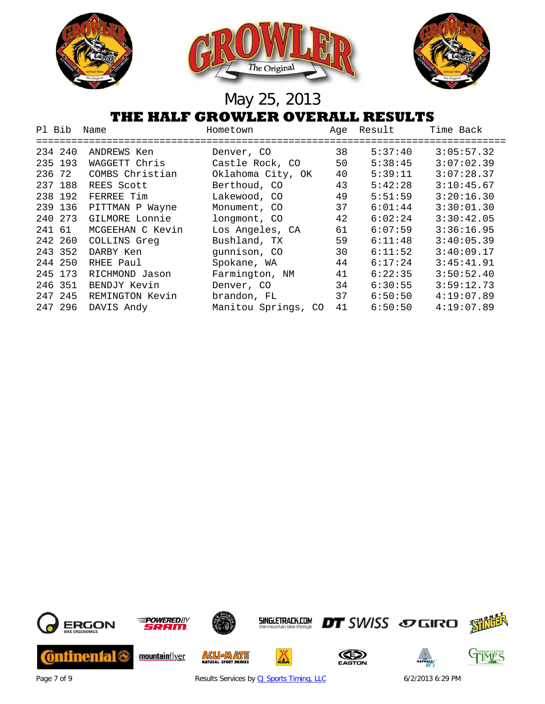

| Pl Bib  | Name                             | Hometown                            | Aqe | Result                 | Time Back  |
|---------|----------------------------------|-------------------------------------|-----|------------------------|------------|
| 234 240 | -----------------<br>ANDREWS Ken | =====================<br>Denver, CO | 38  | -----------<br>5:37:40 | 3:05:57.32 |
| 235 193 | WAGGETT Chris                    | Castle Rock, CO                     | 50  | 5:38:45                | 3:07:02.39 |
| 236 72  | COMBS Christian                  | Oklahoma City, OK                   | 40  | 5:39:11                | 3:07:28.37 |
| 237 188 | REES Scott                       | Berthoud, CO                        | 43  | 5:42:28                | 3:10:45.67 |
| 238 192 | FERREE Tim                       | Lakewood, CO                        | 49  | 5:51:59                | 3:20:16.30 |
| 239 136 | PITTMAN P Wayne                  | Monument, CO                        | 37  | 6:01:44                | 3:30:01.30 |
| 240 273 | GILMORE Lonnie                   | longmont, CO                        | 42  | 6:02:24                | 3:30:42.05 |
| 241 61  | MCGEEHAN C Kevin                 | Los Angeles, CA                     | 61  | 6:07:59                | 3:36:16.95 |
| 242 260 | COLLINS Greq                     | Bushland, TX                        | 59  | 6:11:48                | 3:40:05.39 |
| 243 352 | DARBY Ken                        | qunnison, CO                        | 30  | 6:11:52                | 3:40:09.17 |
| 244 250 | RHEE Paul                        | Spokane, WA                         | 44  | 6:17:24                | 3:45:41.91 |
| 245 173 | RICHMOND Jason                   | Farmington, NM                      | 41  | 6:22:35                | 3:50:52.40 |
| 246 351 | BENDJY Kevin                     | Denver, CO                          | 34  | 6:30:55                | 3:59:12.73 |
| 247 245 | REMINGTON Kevin                  | brandon, FL                         | 37  | 6:50:50                | 4:19:07.89 |
| 247 296 | DAVIS Andy                       | Manitou Springs, CO                 | 41  | 6:50:50                | 4:19:07.89 |



Page 7 of 9 Results Services by [CJ Sports Timing, LLC](http://www.cjtiming.com/) 6/2/2013 6:29 PM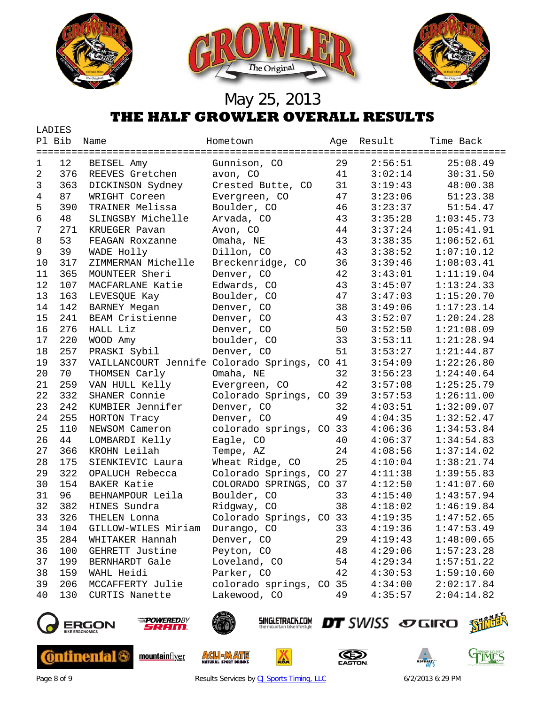

|    | LADIES |                                              |                         |    |            |                                    |
|----|--------|----------------------------------------------|-------------------------|----|------------|------------------------------------|
|    | Pl Bib | Name                                         | Hometown                |    | Age Result | Time Back<br>===================== |
| 1  | 12     | BEISEL Amy                                   | Gunnison, CO            | 29 | 2:56:51    | 25:08.49                           |
| 2  | 376    | REEVES Gretchen                              | avon, CO                | 41 | 3:02:14    | 30:31.50                           |
| 3  | 363    | DICKINSON Sydney                             | Crested Butte, CO       | 31 | 3:19:43    | 48:00.38                           |
| 4  | 87     | WRIGHT Coreen                                | Evergreen, CO           | 47 | 3:23:06    | 51:23.38                           |
| 5  | 390    | TRAINER Melissa                              | Boulder, CO             | 46 | 3:23:37    | 51:54.47                           |
| 6  | 48     | SLINGSBY Michelle                            | Arvada, CO              | 43 | 3:35:28    | 1:03:45.73                         |
| 7  | 271    | KRUEGER Pavan                                | Avon, CO                | 44 | 3:37:24    | 1:05:41.91                         |
| 8  | 53     | FEAGAN Roxzanne                              | Omaha, NE               | 43 | 3:38:35    | 1:06:52.61                         |
| 9  | 39     | WADE Holly                                   | Dillon, CO              | 43 | 3:38:52    | 1:07:10.12                         |
| 10 | 317    | ZIMMERMAN Michelle                           | Breckenridge, CO        | 36 | 3:39:46    | 1:08:03.41                         |
| 11 | 365    | MOUNTEER Sheri                               | Denver, CO              | 42 | 3:43:01    | 1:11:19.04                         |
| 12 | 107    | MACFARLANE Katie                             | Edwards, CO             | 43 | 3:45:07    | 1:13:24.33                         |
| 13 | 163    | LEVESQUE Kay                                 | Boulder, CO             | 47 | 3:47:03    | 1:15:20.70                         |
| 14 | 142    | <b>BARNEY Megan</b>                          | Denver, CO              | 38 | 3:49:06    | 1:17:23.14                         |
| 15 | 241    | BEAM Cristienne                              | Denver, CO              | 43 | 3:52:07    | 1:20:24.28                         |
| 16 | 276    | HALL Liz                                     | Denver, CO              | 50 | 3:52:50    | 1:21:08.09                         |
| 17 | 220    | WOOD Amy                                     | boulder, CO             | 33 | 3:53:11    | 1:21:28.94                         |
| 18 | 257    | PRASKI Sybil                                 | Denver, CO              | 51 | 3:53:27    | 1:21:44.87                         |
| 19 | 337    | VAILLANCOURT Jennife Colorado Springs, CO 41 |                         |    | 3:54:09    | 1:22:26.80                         |
| 20 | 70     | THOMSEN Carly                                | Omaha, NE               | 32 | 3:56:23    | 1:24:40.64                         |
| 21 | 259    | VAN HULL Kelly                               | Evergreen, CO           | 42 | 3:57:08    | 1:25:25.79                         |
| 22 | 332    | SHANER Connie                                | Colorado Springs, CO 39 |    | 3:57:53    | 1:26:11.00                         |
| 23 | 242    | KUMBIER Jennifer                             | Denver, CO              | 32 | 4:03:51    | 1:32:09.07                         |
| 24 | 255    | HORTON Tracy                                 | Denver, CO              | 49 | 4:04:35    | 1:32:52.47                         |
| 25 | 110    | NEWSOM Cameron                               | colorado springs, CO 33 |    | 4:06:36    | 1:34:53.84                         |
| 26 | 44     | LOMBARDI Kelly                               | Eagle, CO               | 40 | 4:06:37    | 1:34:54.83                         |
| 27 | 366    | KROHN Leilah                                 | Tempe, AZ               | 24 | 4:08:56    | 1:37:14.02                         |
| 28 | 175    | SIENKIEVIC Laura                             | Wheat Ridge, CO         | 25 | 4:10:04    | 1:38:21.74                         |
| 29 | 322    | OPALUCH Rebecca                              | Colorado Springs, CO 27 |    | 4:11:38    | 1:39:55.83                         |
| 30 | 154    | <b>BAKER Katie</b>                           | COLORADO SPRINGS, CO 37 |    | 4:12:50    | 1:41:07.60                         |
| 31 | 96     | BEHNAMPOUR Leila                             | Boulder, CO             | 33 | 4:15:40    | 1:43:57.94                         |
| 32 | 382    | HINES Sundra                                 | Ridgway, CO             | 38 | 4:18:02    | 1:46:19.84                         |
| 33 | 326    | THELEN Lonna                                 | Colorado Springs, CO 33 |    | 4:19:35    | 1:47:52.65                         |
| 34 | 104    | GILLOW-WILES Miriam                          | Durango, CO             | 33 | 4:19:36    | 1:47:53.49                         |
| 35 | 284    | WHITAKER Hannah                              | Denver, CO              | 29 | 4:19:43    | 1:48:00.65                         |
| 36 | 100    | GEHRETT Justine                              | Peyton, CO              | 48 | 4:29:06    | 1:57:23.28                         |
| 37 | 199    | <b>BERNHARDT</b> Gale                        | Loveland, CO            | 54 | 4:29:34    | 1:57:51.22                         |
| 38 | 159    | WAHL Heidi                                   | Parker, CO              | 42 | 4:30:53    | 1:59:10.60                         |
| 39 | 206    | MCCAFFERTY Julie                             | colorado springs, CO 35 |    | 4:34:00    | 2:02:17.84                         |
| 40 | 130    | CURTIS Nanette                               | Lakewood, CO            | 49 | 4:35:57    | 2:04:14.82                         |
|    |        |                                              |                         |    |            |                                    |



**Continental &** 



mountainflyer



**ACLIEMATE** 

**SINGLETRACK.COM** 

厸





Page 8 of 9 Results Services by [CJ Sports Timing, LLC](http://www.cjtiming.com/) 6/2/2013 6:29 PM

**DT** SWISS SOGIRO SHILL